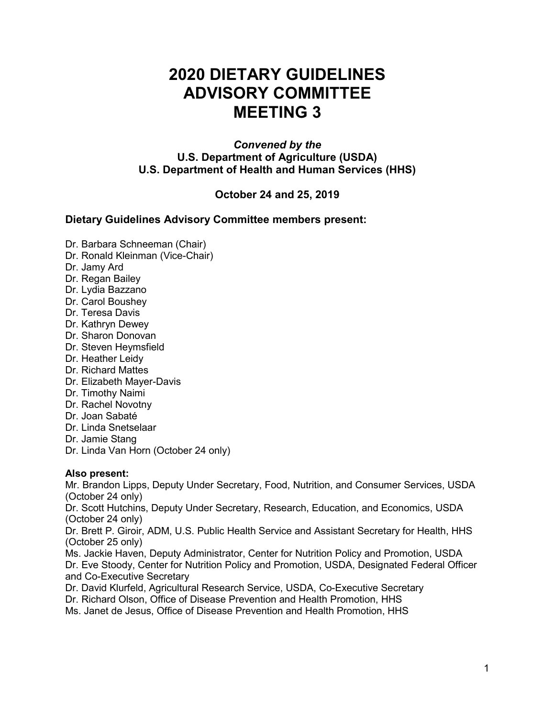# **2020 DIETARY GUIDELINES ADVISORY COMMITTEE MEETING 3**

#### *Convened by the* **U.S. Department of Agriculture (USDA) U.S. Department of Health and Human Services (HHS)**

# **October 24 and 25, 2019**

### **Dietary Guidelines Advisory Committee members present:**

- Dr. Barbara Schneeman (Chair)
- Dr. Ronald Kleinman (Vice-Chair)
- Dr. Jamy Ard
- Dr. Regan Bailey
- Dr. Lydia Bazzano
- Dr. Carol Boushey
- Dr. Teresa Davis
- Dr. Kathryn Dewey
- Dr. Sharon Donovan
- Dr. Steven Heymsfield
- Dr. Heather Leidy
- Dr. Richard Mattes
- Dr. Elizabeth Mayer-Davis
- Dr. Timothy Naimi
- Dr. Rachel Novotny
- Dr. Joan Sabaté
- Dr. Linda Snetselaar
- Dr. Jamie Stang
- Dr. Linda Van Horn (October 24 only)

### **Also present:**

Mr. Brandon Lipps, Deputy Under Secretary, Food, Nutrition, and Consumer Services, USDA (October 24 only)

Dr. Scott Hutchins, Deputy Under Secretary, Research, Education, and Economics, USDA (October 24 only)

Dr. Brett P. Giroir, ADM, U.S. Public Health Service and Assistant Secretary for Health, HHS (October 25 only)

Ms. Jackie Haven, Deputy Administrator, Center for Nutrition Policy and Promotion, USDA Dr. Eve Stoody, Center for Nutrition Policy and Promotion, USDA, Designated Federal Officer and Co-Executive Secretary

Dr. David Klurfeld, Agricultural Research Service, USDA, Co-Executive Secretary Dr. Richard Olson, Office of Disease Prevention and Health Promotion, HHS

Ms. Janet de Jesus, Office of Disease Prevention and Health Promotion, HHS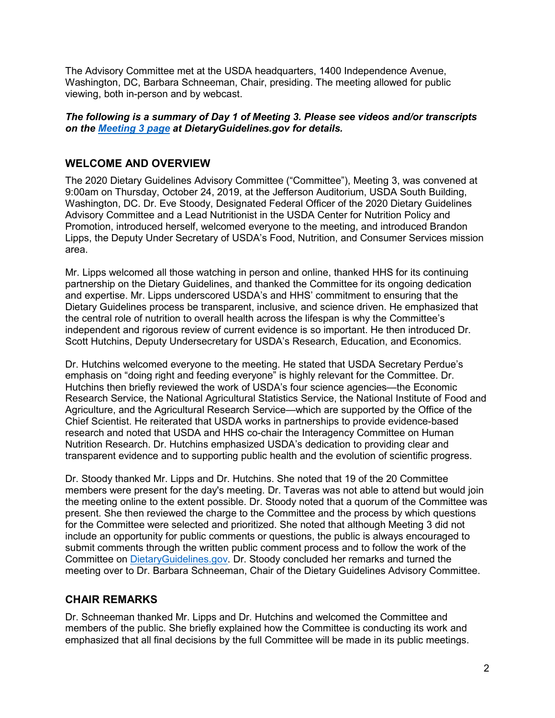The Advisory Committee met at the USDA headquarters, 1400 Independence Avenue, Washington, DC, Barbara Schneeman, Chair, presiding. The meeting allowed for public viewing, both in-person and by webcast.

#### *The following is a summary of Day 1 of Meeting 3. Please see videos and/or transcripts on the [Meeting 3](https://www.dietaryguidelines.gov/meeting-3) page at DietaryGuidelines.gov for details.*

# **WELCOME AND OVERVIEW**

The 2020 Dietary Guidelines Advisory Committee ("Committee"), Meeting 3, was convened at 9:00am on Thursday, October 24, 2019, at the Jefferson Auditorium, USDA South Building, Washington, DC. Dr. Eve Stoody, Designated Federal Officer of the 2020 Dietary Guidelines Advisory Committee and a Lead Nutritionist in the USDA Center for Nutrition Policy and Promotion, introduced herself, welcomed everyone to the meeting, and introduced Brandon Lipps, the Deputy Under Secretary of USDA's Food, Nutrition, and Consumer Services mission area.

Mr. Lipps welcomed all those watching in person and online, thanked HHS for its continuing partnership on the Dietary Guidelines, and thanked the Committee for its ongoing dedication and expertise. Mr. Lipps underscored USDA's and HHS' commitment to ensuring that the Dietary Guidelines process be transparent, inclusive, and science driven. He emphasized that the central role of nutrition to overall health across the lifespan is why the Committee's independent and rigorous review of current evidence is so important. He then introduced Dr. Scott Hutchins, Deputy Undersecretary for USDA's Research, Education, and Economics.

Dr. Hutchins welcomed everyone to the meeting. He stated that USDA Secretary Perdue's emphasis on "doing right and feeding everyone" is highly relevant for the Committee. Dr. Hutchins then briefly reviewed the work of USDA's four science agencies—the Economic Research Service, the National Agricultural Statistics Service, the National Institute of Food and Agriculture, and the Agricultural Research Service—which are supported by the Office of the Chief Scientist. He reiterated that USDA works in partnerships to provide evidence-based research and noted that USDA and HHS co-chair the Interagency Committee on Human Nutrition Research. Dr. Hutchins emphasized USDA's dedication to providing clear and transparent evidence and to supporting public health and the evolution of scientific progress.

Dr. Stoody thanked Mr. Lipps and Dr. Hutchins. She noted that 19 of the 20 Committee members were present for the day's meeting. Dr. Taveras was not able to attend but would join the meeting online to the extent possible. Dr. Stoody noted that a quorum of the Committee was present. She then reviewed the charge to the Committee and the process by which questions for the Committee were selected and prioritized. She noted that although Meeting 3 did not include an opportunity for public comments or questions, the public is always encouraged to submit comments through the written public comment process and to follow the work of the Committee on [DietaryGuidelines.gov.](https://www.dietaryguidelines.gov/) Dr. Stoody concluded her remarks and turned the meeting over to Dr. Barbara Schneeman, Chair of the Dietary Guidelines Advisory Committee.

### **CHAIR REMARKS**

Dr. Schneeman thanked Mr. Lipps and Dr. Hutchins and welcomed the Committee and members of the public. She briefly explained how the Committee is conducting its work and emphasized that all final decisions by the full Committee will be made in its public meetings.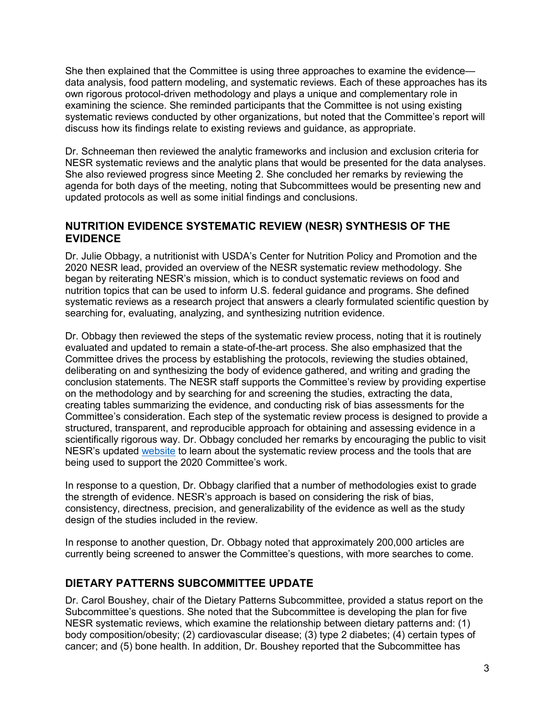She then explained that the Committee is using three approaches to examine the evidence data analysis, food pattern modeling, and systematic reviews. Each of these approaches has its own rigorous protocol-driven methodology and plays a unique and complementary role in examining the science. She reminded participants that the Committee is not using existing systematic reviews conducted by other organizations, but noted that the Committee's report will discuss how its findings relate to existing reviews and guidance, as appropriate.

Dr. Schneeman then reviewed the analytic frameworks and inclusion and exclusion criteria for NESR systematic reviews and the analytic plans that would be presented for the data analyses. She also reviewed progress since Meeting 2. She concluded her remarks by reviewing the agenda for both days of the meeting, noting that Subcommittees would be presenting new and updated protocols as well as some initial findings and conclusions.

## **NUTRITION EVIDENCE SYSTEMATIC REVIEW (NESR) SYNTHESIS OF THE EVIDENCE**

Dr. Julie Obbagy, a nutritionist with USDA's Center for Nutrition Policy and Promotion and the 2020 NESR lead, provided an overview of the NESR systematic review methodology. She began by reiterating NESR's mission, which is to conduct systematic reviews on food and nutrition topics that can be used to inform U.S. federal guidance and programs. She defined systematic reviews as a research project that answers a clearly formulated scientific question by searching for, evaluating, analyzing, and synthesizing nutrition evidence.

Dr. Obbagy then reviewed the steps of the systematic review process, noting that it is routinely evaluated and updated to remain a state-of-the-art process. She also emphasized that the Committee drives the process by establishing the protocols, reviewing the studies obtained, deliberating on and synthesizing the body of evidence gathered, and writing and grading the conclusion statements. The NESR staff supports the Committee's review by providing expertise on the methodology and by searching for and screening the studies, extracting the data, creating tables summarizing the evidence, and conducting risk of bias assessments for the Committee's consideration. Each step of the systematic review process is designed to provide a structured, transparent, and reproducible approach for obtaining and assessing evidence in a scientifically rigorous way. Dr. Obbagy concluded her remarks by encouraging the public to visit NESR's updated [website](https://nesr.usda.gov/) to learn about the systematic review process and the tools that are being used to support the 2020 Committee's work.

In response to a question, Dr. Obbagy clarified that a number of methodologies exist to grade the strength of evidence. NESR's approach is based on considering the risk of bias, consistency, directness, precision, and generalizability of the evidence as well as the study design of the studies included in the review.

In response to another question, Dr. Obbagy noted that approximately 200,000 articles are currently being screened to answer the Committee's questions, with more searches to come.

# **DIETARY PATTERNS SUBCOMMITTEE UPDATE**

Dr. Carol Boushey, chair of the Dietary Patterns Subcommittee, provided a status report on the Subcommittee's questions. She noted that the Subcommittee is developing the plan for five NESR systematic reviews, which examine the relationship between dietary patterns and: (1) body composition/obesity; (2) cardiovascular disease; (3) type 2 diabetes; (4) certain types of cancer; and (5) bone health. In addition, Dr. Boushey reported that the Subcommittee has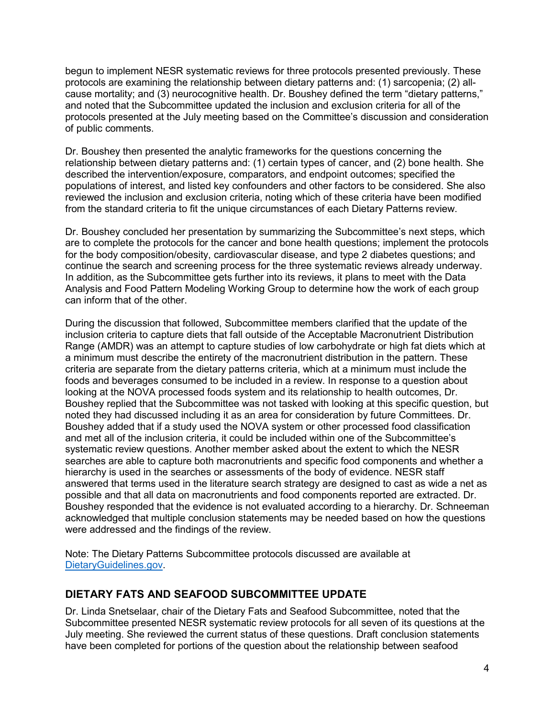begun to implement NESR systematic reviews for three protocols presented previously. These protocols are examining the relationship between dietary patterns and: (1) sarcopenia; (2) allcause mortality; and (3) neurocognitive health. Dr. Boushey defined the term "dietary patterns," and noted that the Subcommittee updated the inclusion and exclusion criteria for all of the protocols presented at the July meeting based on the Committee's discussion and consideration of public comments.

Dr. Boushey then presented the analytic frameworks for the questions concerning the relationship between dietary patterns and: (1) certain types of cancer, and (2) bone health. She described the intervention/exposure, comparators, and endpoint outcomes; specified the populations of interest, and listed key confounders and other factors to be considered. She also reviewed the inclusion and exclusion criteria, noting which of these criteria have been modified from the standard criteria to fit the unique circumstances of each Dietary Patterns review.

Dr. Boushey concluded her presentation by summarizing the Subcommittee's next steps, which are to complete the protocols for the cancer and bone health questions; implement the protocols for the body composition/obesity, cardiovascular disease, and type 2 diabetes questions; and continue the search and screening process for the three systematic reviews already underway. In addition, as the Subcommittee gets further into its reviews, it plans to meet with the Data Analysis and Food Pattern Modeling Working Group to determine how the work of each group can inform that of the other.

During the discussion that followed, Subcommittee members clarified that the update of the inclusion criteria to capture diets that fall outside of the Acceptable Macronutrient Distribution Range (AMDR) was an attempt to capture studies of low carbohydrate or high fat diets which at a minimum must describe the entirety of the macronutrient distribution in the pattern. These criteria are separate from the dietary patterns criteria, which at a minimum must include the foods and beverages consumed to be included in a review. In response to a question about looking at the NOVA processed foods system and its relationship to health outcomes, Dr. Boushey replied that the Subcommittee was not tasked with looking at this specific question, but noted they had discussed including it as an area for consideration by future Committees. Dr. Boushey added that if a study used the NOVA system or other processed food classification and met all of the inclusion criteria, it could be included within one of the Subcommittee's systematic review questions. Another member asked about the extent to which the NESR searches are able to capture both macronutrients and specific food components and whether a hierarchy is used in the searches or assessments of the body of evidence. NESR staff answered that terms used in the literature search strategy are designed to cast as wide a net as possible and that all data on macronutrients and food components reported are extracted. Dr. Boushey responded that the evidence is not evaluated according to a hierarchy. Dr. Schneeman acknowledged that multiple conclusion statements may be needed based on how the questions were addressed and the findings of the review.

Note: The Dietary Patterns Subcommittee protocols discussed are available at [DietaryGuidelines.gov.](https://gcc02.safelinks.protection.outlook.com/?url=https%3A%2F%2Fwww.dietaryguidelines.gov%2F&data=02%7C01%7C%7C4ef81843053e41ede96c08d71c0fb492%7Ced5b36e701ee4ebc867ee03cfa0d4697%7C0%7C0%7C637008726085710622&sdata=T%2BjhM11f1zUUz%2FCifwmbsgq7HDQFMQZ07pWMyiMcpdo%3D&reserved=0)

### **DIETARY FATS AND SEAFOOD SUBCOMMITTEE UPDATE**

Dr. Linda Snetselaar, chair of the Dietary Fats and Seafood Subcommittee, noted that the Subcommittee presented NESR systematic review protocols for all seven of its questions at the July meeting. She reviewed the current status of these questions. Draft conclusion statements have been completed for portions of the question about the relationship between seafood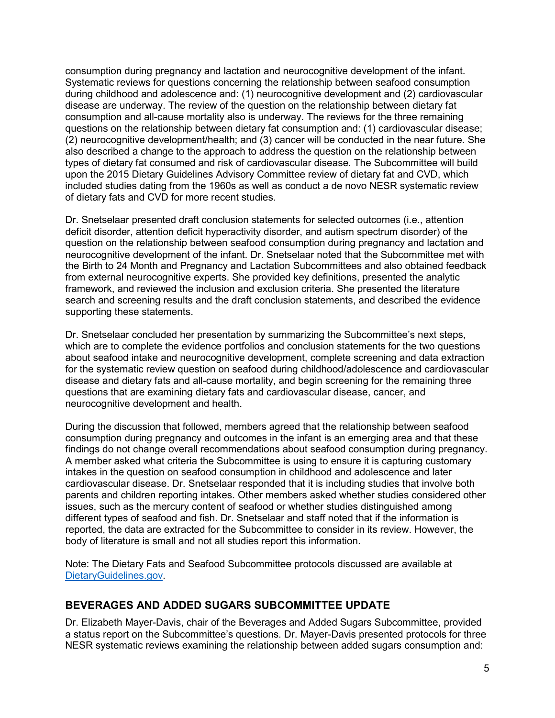consumption during pregnancy and lactation and neurocognitive development of the infant. Systematic reviews for questions concerning the relationship between seafood consumption during childhood and adolescence and: (1) neurocognitive development and (2) cardiovascular disease are underway. The review of the question on the relationship between dietary fat consumption and all-cause mortality also is underway. The reviews for the three remaining questions on the relationship between dietary fat consumption and: (1) cardiovascular disease; (2) neurocognitive development/health; and (3) cancer will be conducted in the near future. She also described a change to the approach to address the question on the relationship between types of dietary fat consumed and risk of cardiovascular disease. The Subcommittee will build upon the 2015 Dietary Guidelines Advisory Committee review of dietary fat and CVD, which included studies dating from the 1960s as well as conduct a de novo NESR systematic review of dietary fats and CVD for more recent studies.

Dr. Snetselaar presented draft conclusion statements for selected outcomes (i.e., attention deficit disorder, attention deficit hyperactivity disorder, and autism spectrum disorder) of the question on the relationship between seafood consumption during pregnancy and lactation and neurocognitive development of the infant. Dr. Snetselaar noted that the Subcommittee met with the Birth to 24 Month and Pregnancy and Lactation Subcommittees and also obtained feedback from external neurocognitive experts. She provided key definitions, presented the analytic framework, and reviewed the inclusion and exclusion criteria. She presented the literature search and screening results and the draft conclusion statements, and described the evidence supporting these statements.

Dr. Snetselaar concluded her presentation by summarizing the Subcommittee's next steps, which are to complete the evidence portfolios and conclusion statements for the two questions about seafood intake and neurocognitive development, complete screening and data extraction for the systematic review question on seafood during childhood/adolescence and cardiovascular disease and dietary fats and all-cause mortality, and begin screening for the remaining three questions that are examining dietary fats and cardiovascular disease, cancer, and neurocognitive development and health.

During the discussion that followed, members agreed that the relationship between seafood consumption during pregnancy and outcomes in the infant is an emerging area and that these findings do not change overall recommendations about seafood consumption during pregnancy. A member asked what criteria the Subcommittee is using to ensure it is capturing customary intakes in the question on seafood consumption in childhood and adolescence and later cardiovascular disease. Dr. Snetselaar responded that it is including studies that involve both parents and children reporting intakes. Other members asked whether studies considered other issues, such as the mercury content of seafood or whether studies distinguished among different types of seafood and fish. Dr. Snetselaar and staff noted that if the information is reported, the data are extracted for the Subcommittee to consider in its review. However, the body of literature is small and not all studies report this information.

Note: The Dietary Fats and Seafood Subcommittee protocols discussed are available at [DietaryGuidelines.gov.](https://gcc02.safelinks.protection.outlook.com/?url=https%3A%2F%2Fwww.dietaryguidelines.gov%2F&data=02%7C01%7C%7C4ef81843053e41ede96c08d71c0fb492%7Ced5b36e701ee4ebc867ee03cfa0d4697%7C0%7C0%7C637008726085710622&sdata=T%2BjhM11f1zUUz%2FCifwmbsgq7HDQFMQZ07pWMyiMcpdo%3D&reserved=0)

### **BEVERAGES AND ADDED SUGARS SUBCOMMITTEE UPDATE**

Dr. Elizabeth Mayer-Davis, chair of the Beverages and Added Sugars Subcommittee, provided a status report on the Subcommittee's questions. Dr. Mayer-Davis presented protocols for three NESR systematic reviews examining the relationship between added sugars consumption and: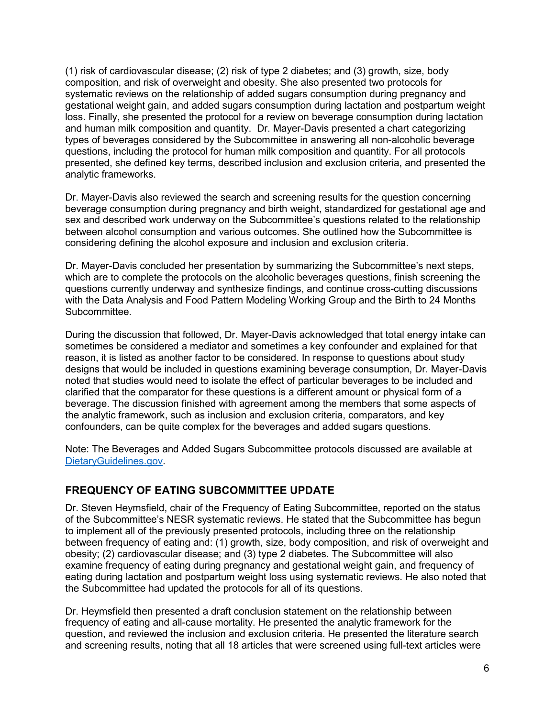(1) risk of cardiovascular disease; (2) risk of type 2 diabetes; and (3) growth, size, body composition, and risk of overweight and obesity. She also presented two protocols for systematic reviews on the relationship of added sugars consumption during pregnancy and gestational weight gain, and added sugars consumption during lactation and postpartum weight loss. Finally, she presented the protocol for a review on beverage consumption during lactation and human milk composition and quantity. Dr. Mayer-Davis presented a chart categorizing types of beverages considered by the Subcommittee in answering all non-alcoholic beverage questions, including the protocol for human milk composition and quantity. For all protocols presented, she defined key terms, described inclusion and exclusion criteria, and presented the analytic frameworks.

Dr. Mayer-Davis also reviewed the search and screening results for the question concerning beverage consumption during pregnancy and birth weight, standardized for gestational age and sex and described work underway on the Subcommittee's questions related to the relationship between alcohol consumption and various outcomes. She outlined how the Subcommittee is considering defining the alcohol exposure and inclusion and exclusion criteria.

Dr. Mayer-Davis concluded her presentation by summarizing the Subcommittee's next steps, which are to complete the protocols on the alcoholic beverages questions, finish screening the questions currently underway and synthesize findings, and continue cross-cutting discussions with the Data Analysis and Food Pattern Modeling Working Group and the Birth to 24 Months Subcommittee.

During the discussion that followed, Dr. Mayer-Davis acknowledged that total energy intake can sometimes be considered a mediator and sometimes a key confounder and explained for that reason, it is listed as another factor to be considered. In response to questions about study designs that would be included in questions examining beverage consumption, Dr. Mayer-Davis noted that studies would need to isolate the effect of particular beverages to be included and clarified that the comparator for these questions is a different amount or physical form of a beverage. The discussion finished with agreement among the members that some aspects of the analytic framework, such as inclusion and exclusion criteria, comparators, and key confounders, can be quite complex for the beverages and added sugars questions.

Note: The Beverages and Added Sugars Subcommittee protocols discussed are available at [DietaryGuidelines.gov.](https://gcc02.safelinks.protection.outlook.com/?url=https%3A%2F%2Fwww.dietaryguidelines.gov%2F&data=02%7C01%7C%7C4ef81843053e41ede96c08d71c0fb492%7Ced5b36e701ee4ebc867ee03cfa0d4697%7C0%7C0%7C637008726085710622&sdata=T%2BjhM11f1zUUz%2FCifwmbsgq7HDQFMQZ07pWMyiMcpdo%3D&reserved=0)

### **FREQUENCY OF EATING SUBCOMMITTEE UPDATE**

Dr. Steven Heymsfield, chair of the Frequency of Eating Subcommittee, reported on the status of the Subcommittee's NESR systematic reviews. He stated that the Subcommittee has begun to implement all of the previously presented protocols, including three on the relationship between frequency of eating and: (1) growth, size, body composition, and risk of overweight and obesity; (2) cardiovascular disease; and (3) type 2 diabetes. The Subcommittee will also examine frequency of eating during pregnancy and gestational weight gain, and frequency of eating during lactation and postpartum weight loss using systematic reviews. He also noted that the Subcommittee had updated the protocols for all of its questions.

Dr. Heymsfield then presented a draft conclusion statement on the relationship between frequency of eating and all-cause mortality. He presented the analytic framework for the question, and reviewed the inclusion and exclusion criteria. He presented the literature search and screening results, noting that all 18 articles that were screened using full-text articles were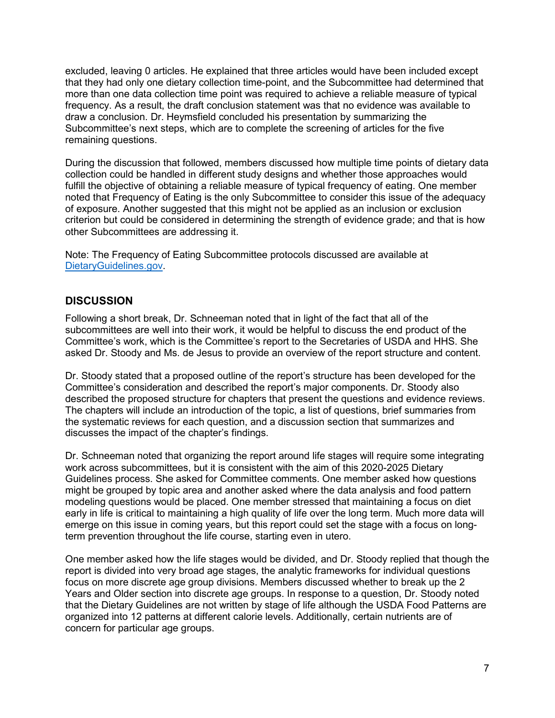excluded, leaving 0 articles. He explained that three articles would have been included except that they had only one dietary collection time-point, and the Subcommittee had determined that more than one data collection time point was required to achieve a reliable measure of typical frequency. As a result, the draft conclusion statement was that no evidence was available to draw a conclusion. Dr. Heymsfield concluded his presentation by summarizing the Subcommittee's next steps, which are to complete the screening of articles for the five remaining questions.

During the discussion that followed, members discussed how multiple time points of dietary data collection could be handled in different study designs and whether those approaches would fulfill the objective of obtaining a reliable measure of typical frequency of eating. One member noted that Frequency of Eating is the only Subcommittee to consider this issue of the adequacy of exposure. Another suggested that this might not be applied as an inclusion or exclusion criterion but could be considered in determining the strength of evidence grade; and that is how other Subcommittees are addressing it.

Note: The Frequency of Eating Subcommittee protocols discussed are available at [DietaryGuidelines.gov.](https://gcc02.safelinks.protection.outlook.com/?url=https%3A%2F%2Fwww.dietaryguidelines.gov%2F&data=02%7C01%7C%7C4ef81843053e41ede96c08d71c0fb492%7Ced5b36e701ee4ebc867ee03cfa0d4697%7C0%7C0%7C637008726085710622&sdata=T%2BjhM11f1zUUz%2FCifwmbsgq7HDQFMQZ07pWMyiMcpdo%3D&reserved=0)

## **DISCUSSION**

Following a short break, Dr. Schneeman noted that in light of the fact that all of the subcommittees are well into their work, it would be helpful to discuss the end product of the Committee's work, which is the Committee's report to the Secretaries of USDA and HHS. She asked Dr. Stoody and Ms. de Jesus to provide an overview of the report structure and content.

Dr. Stoody stated that a proposed outline of the report's structure has been developed for the Committee's consideration and described the report's major components. Dr. Stoody also described the proposed structure for chapters that present the questions and evidence reviews. The chapters will include an introduction of the topic, a list of questions, brief summaries from the systematic reviews for each question, and a discussion section that summarizes and discusses the impact of the chapter's findings.

Dr. Schneeman noted that organizing the report around life stages will require some integrating work across subcommittees, but it is consistent with the aim of this 2020-2025 Dietary Guidelines process. She asked for Committee comments. One member asked how questions might be grouped by topic area and another asked where the data analysis and food pattern modeling questions would be placed. One member stressed that maintaining a focus on diet early in life is critical to maintaining a high quality of life over the long term. Much more data will emerge on this issue in coming years, but this report could set the stage with a focus on longterm prevention throughout the life course, starting even in utero.

One member asked how the life stages would be divided, and Dr. Stoody replied that though the report is divided into very broad age stages, the analytic frameworks for individual questions focus on more discrete age group divisions. Members discussed whether to break up the 2 Years and Older section into discrete age groups. In response to a question, Dr. Stoody noted that the Dietary Guidelines are not written by stage of life although the USDA Food Patterns are organized into 12 patterns at different calorie levels. Additionally, certain nutrients are of concern for particular age groups.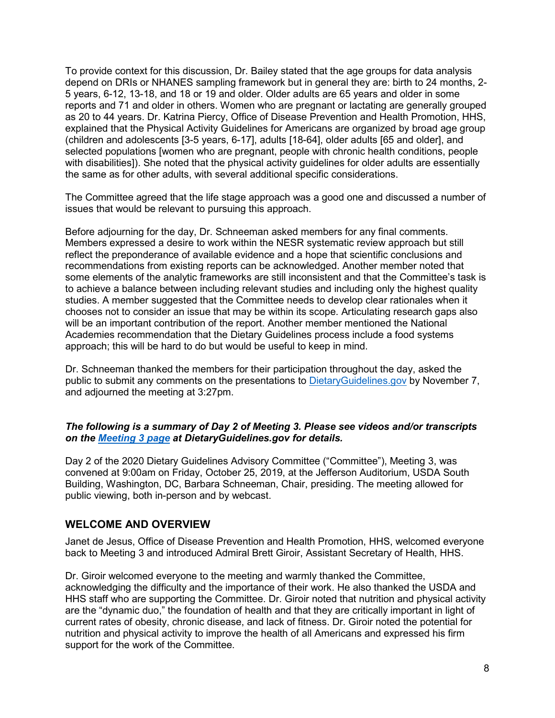To provide context for this discussion, Dr. Bailey stated that the age groups for data analysis depend on DRIs or NHANES sampling framework but in general they are: birth to 24 months, 2- 5 years, 6-12, 13-18, and 18 or 19 and older. Older adults are 65 years and older in some reports and 71 and older in others. Women who are pregnant or lactating are generally grouped as 20 to 44 years. Dr. Katrina Piercy, Office of Disease Prevention and Health Promotion, HHS, explained that the Physical Activity Guidelines for Americans are organized by broad age group (children and adolescents [3-5 years, 6-17], adults [18-64], older adults [65 and older], and selected populations [women who are pregnant, people with chronic health conditions, people with disabilities]). She noted that the physical activity guidelines for older adults are essentially the same as for other adults, with several additional specific considerations.

The Committee agreed that the life stage approach was a good one and discussed a number of issues that would be relevant to pursuing this approach.

Before adjourning for the day, Dr. Schneeman asked members for any final comments. Members expressed a desire to work within the NESR systematic review approach but still reflect the preponderance of available evidence and a hope that scientific conclusions and recommendations from existing reports can be acknowledged. Another member noted that some elements of the analytic frameworks are still inconsistent and that the Committee's task is to achieve a balance between including relevant studies and including only the highest quality studies. A member suggested that the Committee needs to develop clear rationales when it chooses not to consider an issue that may be within its scope. Articulating research gaps also will be an important contribution of the report. Another member mentioned the National Academies recommendation that the Dietary Guidelines process include a food systems approach; this will be hard to do but would be useful to keep in mind.

Dr. Schneeman thanked the members for their participation throughout the day, asked the public to submit any comments on the presentations to [DietaryGuidelines.gov](https://www.dietaryguidelines.gov/) by November 7, and adjourned the meeting at 3:27pm.

#### *The following is a summary of Day 2 of Meeting 3. Please see videos and/or transcripts on the [Meeting 3 page](https://www.dietaryguidelines.gov/meeting-3) at DietaryGuidelines.gov for details.*

Day 2 of the 2020 Dietary Guidelines Advisory Committee ("Committee"), Meeting 3, was convened at 9:00am on Friday, October 25, 2019, at the Jefferson Auditorium, USDA South Building, Washington, DC, Barbara Schneeman, Chair, presiding. The meeting allowed for public viewing, both in-person and by webcast.

#### **WELCOME AND OVERVIEW**

Janet de Jesus, Office of Disease Prevention and Health Promotion, HHS, welcomed everyone back to Meeting 3 and introduced Admiral Brett Giroir, Assistant Secretary of Health, HHS.

Dr. Giroir welcomed everyone to the meeting and warmly thanked the Committee, acknowledging the difficulty and the importance of their work. He also thanked the USDA and HHS staff who are supporting the Committee. Dr. Giroir noted that nutrition and physical activity are the "dynamic duo," the foundation of health and that they are critically important in light of current rates of obesity, chronic disease, and lack of fitness. Dr. Giroir noted the potential for nutrition and physical activity to improve the health of all Americans and expressed his firm support for the work of the Committee.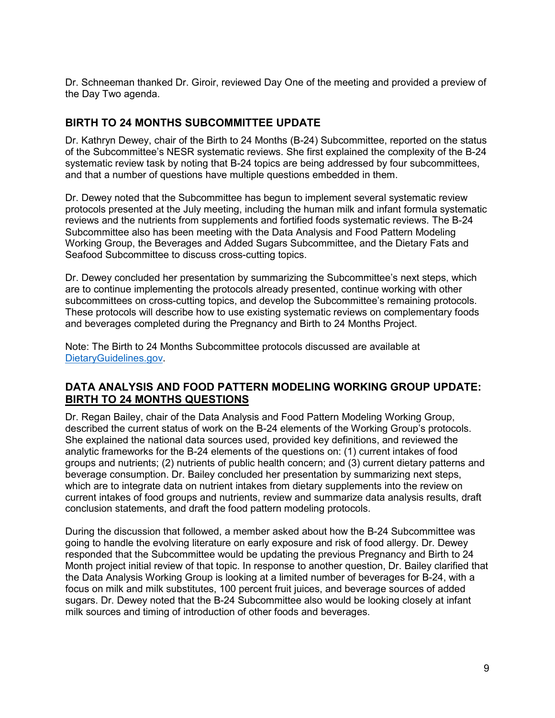Dr. Schneeman thanked Dr. Giroir, reviewed Day One of the meeting and provided a preview of the Day Two agenda.

## **BIRTH TO 24 MONTHS SUBCOMMITTEE UPDATE**

Dr. Kathryn Dewey, chair of the Birth to 24 Months (B-24) Subcommittee, reported on the status of the Subcommittee's NESR systematic reviews. She first explained the complexity of the B-24 systematic review task by noting that B-24 topics are being addressed by four subcommittees, and that a number of questions have multiple questions embedded in them.

Dr. Dewey noted that the Subcommittee has begun to implement several systematic review protocols presented at the July meeting, including the human milk and infant formula systematic reviews and the nutrients from supplements and fortified foods systematic reviews. The B-24 Subcommittee also has been meeting with the Data Analysis and Food Pattern Modeling Working Group, the Beverages and Added Sugars Subcommittee, and the Dietary Fats and Seafood Subcommittee to discuss cross-cutting topics.

Dr. Dewey concluded her presentation by summarizing the Subcommittee's next steps, which are to continue implementing the protocols already presented, continue working with other subcommittees on cross-cutting topics, and develop the Subcommittee's remaining protocols. These protocols will describe how to use existing systematic reviews on complementary foods and beverages completed during the Pregnancy and Birth to 24 Months Project.

Note: The Birth to 24 Months Subcommittee protocols discussed are available at [DietaryGuidelines.gov.](https://gcc02.safelinks.protection.outlook.com/?url=https%3A%2F%2Fwww.dietaryguidelines.gov%2F&data=02%7C01%7C%7C4ef81843053e41ede96c08d71c0fb492%7Ced5b36e701ee4ebc867ee03cfa0d4697%7C0%7C0%7C637008726085710622&sdata=T%2BjhM11f1zUUz%2FCifwmbsgq7HDQFMQZ07pWMyiMcpdo%3D&reserved=0)

### **DATA ANALYSIS AND FOOD PATTERN MODELING WORKING GROUP UPDATE: BIRTH TO 24 MONTHS QUESTIONS**

Dr. Regan Bailey, chair of the Data Analysis and Food Pattern Modeling Working Group, described the current status of work on the B-24 elements of the Working Group's protocols. She explained the national data sources used, provided key definitions, and reviewed the analytic frameworks for the B-24 elements of the questions on: (1) current intakes of food groups and nutrients; (2) nutrients of public health concern; and (3) current dietary patterns and beverage consumption. Dr. Bailey concluded her presentation by summarizing next steps, which are to integrate data on nutrient intakes from dietary supplements into the review on current intakes of food groups and nutrients, review and summarize data analysis results, draft conclusion statements, and draft the food pattern modeling protocols.

During the discussion that followed, a member asked about how the B-24 Subcommittee was going to handle the evolving literature on early exposure and risk of food allergy. Dr. Dewey responded that the Subcommittee would be updating the previous Pregnancy and Birth to 24 Month project initial review of that topic. In response to another question, Dr. Bailey clarified that the Data Analysis Working Group is looking at a limited number of beverages for B-24, with a focus on milk and milk substitutes, 100 percent fruit juices, and beverage sources of added sugars. Dr. Dewey noted that the B-24 Subcommittee also would be looking closely at infant milk sources and timing of introduction of other foods and beverages.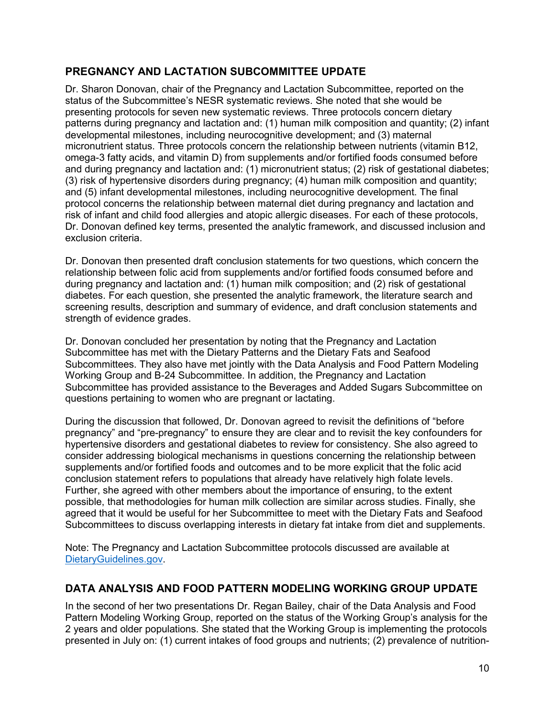# **PREGNANCY AND LACTATION SUBCOMMITTEE UPDATE**

Dr. Sharon Donovan, chair of the Pregnancy and Lactation Subcommittee, reported on the status of the Subcommittee's NESR systematic reviews. She noted that she would be presenting protocols for seven new systematic reviews. Three protocols concern dietary patterns during pregnancy and lactation and: (1) human milk composition and quantity; (2) infant developmental milestones, including neurocognitive development; and (3) maternal micronutrient status. Three protocols concern the relationship between nutrients (vitamin B12, omega-3 fatty acids, and vitamin D) from supplements and/or fortified foods consumed before and during pregnancy and lactation and: (1) micronutrient status; (2) risk of gestational diabetes; (3) risk of hypertensive disorders during pregnancy; (4) human milk composition and quantity; and (5) infant developmental milestones, including neurocognitive development. The final protocol concerns the relationship between maternal diet during pregnancy and lactation and risk of infant and child food allergies and atopic allergic diseases. For each of these protocols, Dr. Donovan defined key terms, presented the analytic framework, and discussed inclusion and exclusion criteria.

Dr. Donovan then presented draft conclusion statements for two questions, which concern the relationship between folic acid from supplements and/or fortified foods consumed before and during pregnancy and lactation and: (1) human milk composition; and (2) risk of gestational diabetes. For each question, she presented the analytic framework, the literature search and screening results, description and summary of evidence, and draft conclusion statements and strength of evidence grades.

Dr. Donovan concluded her presentation by noting that the Pregnancy and Lactation Subcommittee has met with the Dietary Patterns and the Dietary Fats and Seafood Subcommittees. They also have met jointly with the Data Analysis and Food Pattern Modeling Working Group and B-24 Subcommittee. In addition, the Pregnancy and Lactation Subcommittee has provided assistance to the Beverages and Added Sugars Subcommittee on questions pertaining to women who are pregnant or lactating.

During the discussion that followed, Dr. Donovan agreed to revisit the definitions of "before pregnancy" and "pre-pregnancy" to ensure they are clear and to revisit the key confounders for hypertensive disorders and gestational diabetes to review for consistency. She also agreed to consider addressing biological mechanisms in questions concerning the relationship between supplements and/or fortified foods and outcomes and to be more explicit that the folic acid conclusion statement refers to populations that already have relatively high folate levels. Further, she agreed with other members about the importance of ensuring, to the extent possible, that methodologies for human milk collection are similar across studies. Finally, she agreed that it would be useful for her Subcommittee to meet with the Dietary Fats and Seafood Subcommittees to discuss overlapping interests in dietary fat intake from diet and supplements.

Note: The Pregnancy and Lactation Subcommittee protocols discussed are available at [DietaryGuidelines.gov.](https://gcc02.safelinks.protection.outlook.com/?url=https%3A%2F%2Fwww.dietaryguidelines.gov%2F&data=02%7C01%7C%7C4ef81843053e41ede96c08d71c0fb492%7Ced5b36e701ee4ebc867ee03cfa0d4697%7C0%7C0%7C637008726085710622&sdata=T%2BjhM11f1zUUz%2FCifwmbsgq7HDQFMQZ07pWMyiMcpdo%3D&reserved=0)

# **DATA ANALYSIS AND FOOD PATTERN MODELING WORKING GROUP UPDATE**

In the second of her two presentations Dr. Regan Bailey, chair of the Data Analysis and Food Pattern Modeling Working Group, reported on the status of the Working Group's analysis for the 2 years and older populations. She stated that the Working Group is implementing the protocols presented in July on: (1) current intakes of food groups and nutrients; (2) prevalence of nutrition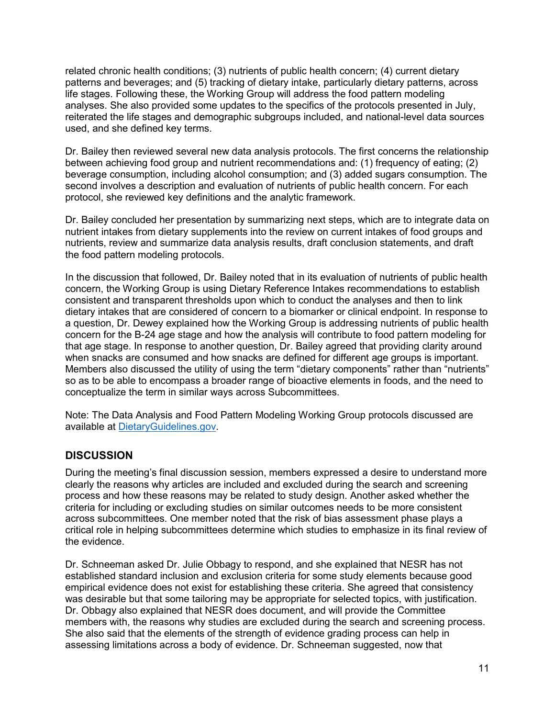related chronic health conditions; (3) nutrients of public health concern; (4) current dietary patterns and beverages; and (5) tracking of dietary intake, particularly dietary patterns, across life stages. Following these, the Working Group will address the food pattern modeling analyses. She also provided some updates to the specifics of the protocols presented in July, reiterated the life stages and demographic subgroups included, and national-level data sources used, and she defined key terms.

Dr. Bailey then reviewed several new data analysis protocols. The first concerns the relationship between achieving food group and nutrient recommendations and: (1) frequency of eating; (2) beverage consumption, including alcohol consumption; and (3) added sugars consumption. The second involves a description and evaluation of nutrients of public health concern. For each protocol, she reviewed key definitions and the analytic framework.

Dr. Bailey concluded her presentation by summarizing next steps, which are to integrate data on nutrient intakes from dietary supplements into the review on current intakes of food groups and nutrients, review and summarize data analysis results, draft conclusion statements, and draft the food pattern modeling protocols.

In the discussion that followed, Dr. Bailey noted that in its evaluation of nutrients of public health concern, the Working Group is using Dietary Reference Intakes recommendations to establish consistent and transparent thresholds upon which to conduct the analyses and then to link dietary intakes that are considered of concern to a biomarker or clinical endpoint. In response to a question, Dr. Dewey explained how the Working Group is addressing nutrients of public health concern for the B-24 age stage and how the analysis will contribute to food pattern modeling for that age stage. In response to another question, Dr. Bailey agreed that providing clarity around when snacks are consumed and how snacks are defined for different age groups is important. Members also discussed the utility of using the term "dietary components" rather than "nutrients" so as to be able to encompass a broader range of bioactive elements in foods, and the need to conceptualize the term in similar ways across Subcommittees.

Note: The Data Analysis and Food Pattern Modeling Working Group protocols discussed are available at [DietaryGuidelines.gov.](https://gcc02.safelinks.protection.outlook.com/?url=https%3A%2F%2Fwww.dietaryguidelines.gov%2F&data=02%7C01%7C%7C4ef81843053e41ede96c08d71c0fb492%7Ced5b36e701ee4ebc867ee03cfa0d4697%7C0%7C0%7C637008726085710622&sdata=T%2BjhM11f1zUUz%2FCifwmbsgq7HDQFMQZ07pWMyiMcpdo%3D&reserved=0)

# **DISCUSSION**

During the meeting's final discussion session, members expressed a desire to understand more clearly the reasons why articles are included and excluded during the search and screening process and how these reasons may be related to study design. Another asked whether the criteria for including or excluding studies on similar outcomes needs to be more consistent across subcommittees. One member noted that the risk of bias assessment phase plays a critical role in helping subcommittees determine which studies to emphasize in its final review of the evidence.

Dr. Schneeman asked Dr. Julie Obbagy to respond, and she explained that NESR has not established standard inclusion and exclusion criteria for some study elements because good empirical evidence does not exist for establishing these criteria. She agreed that consistency was desirable but that some tailoring may be appropriate for selected topics, with justification. Dr. Obbagy also explained that NESR does document, and will provide the Committee members with, the reasons why studies are excluded during the search and screening process. She also said that the elements of the strength of evidence grading process can help in assessing limitations across a body of evidence. Dr. Schneeman suggested, now that